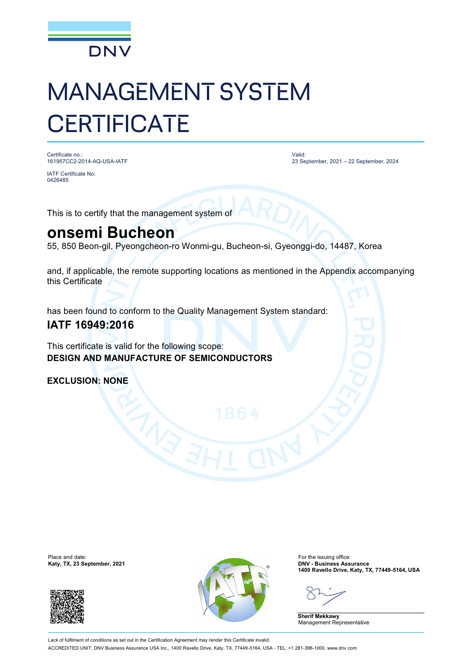

# MANAGEMENT SYSTEM **CERTIFICATE**

Certificate no.: 161957CC2-2014-AQ-USA-IATF

IATF Certificate No: 0426485

Valid: 23 September, 2021 – 22 September, 2024

This is to certify that the management system of

### **onsemi Bucheon**

55, 850 Beon-gil, Pyeongcheon-ro Wonmi-gu, Bucheon-si, Gyeonggi-do, 14487, Korea

and, if applicable, the remote supporting locations as mentioned in the Appendix accompanying this Certificate

has been found to conform to the Quality Management System standard:

### **IATF 16949:2016**

This certificate is valid for the following scope: **DESIGN AND MANUFACTURE OF SEMICONDUCTORS**

**EXCLUSION: NONE**





**1400 Ravello Drive, Katy, TX, 77449-5164, USA**

**Sherif Mekkawy** Management Representative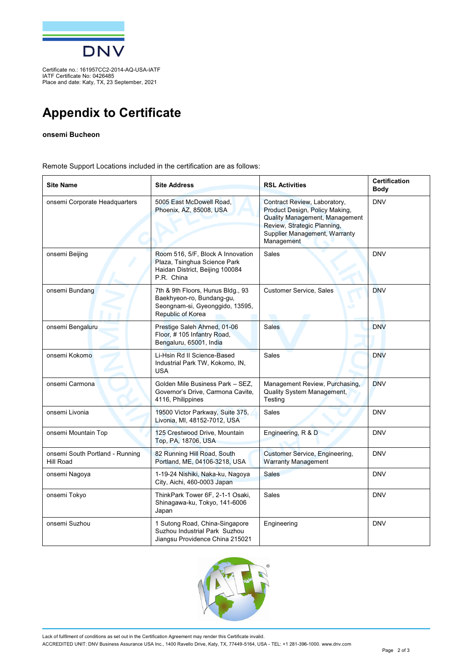

Certificate no.: 161957CC2-2014-AQ-USA-IATF IATF Certificate No: 0426485 Place and date: Katy, TX, 23 September, 2021

## **Appendix to Certificate**

#### **onsemi Bucheon**

Remote Support Locations included in the certification are as follows:

| <b>Site Name</b>                             | <b>Site Address</b>                                                                                                    | <b>RSL Activities</b>                                                                                                                                                          | <b>Certification</b><br><b>Body</b> |
|----------------------------------------------|------------------------------------------------------------------------------------------------------------------------|--------------------------------------------------------------------------------------------------------------------------------------------------------------------------------|-------------------------------------|
| onsemi Corporate Headquarters                | 5005 East McDowell Road,<br>Phoenix, AZ, 85008, USA                                                                    | Contract Review, Laboratory,<br>Product Design, Policy Making,<br>Quality Management, Management<br>Review, Strategic Planning,<br>Supplier Management, Warranty<br>Management | <b>DNV</b>                          |
| onsemi Beijing                               | Room 516, 5/F, Block A Innovation<br>Plaza, Tsinghua Science Park<br>Haidan District, Beijing 100084<br>P.R. China     | Sales                                                                                                                                                                          | <b>DNV</b>                          |
| onsemi Bundang                               | 7th & 9th Floors, Hunus Bldg., 93<br>Baekhyeon-ro, Bundang-gu,<br>Seongnam-si, Gyeonggido, 13595,<br>Republic of Korea | Customer Service, Sales<br>w                                                                                                                                                   | <b>DNV</b>                          |
| onsemi Bengaluru                             | Prestige Saleh Ahmed, 01-06<br>Floor, #105 Infantry Road,<br>Bengaluru, 65001, India                                   | <b>Sales</b>                                                                                                                                                                   | <b>DNV</b>                          |
| onsemi Kokomo                                | Li-Hsin Rd II Science-Based<br>Industrial Park TW, Kokomo, IN,<br><b>USA</b>                                           | Sales                                                                                                                                                                          | <b>DNV</b>                          |
| onsemi Carmona                               | Golden Mile Business Park - SEZ,<br>Governor's Drive, Carmona Cavite,<br>4116, Philippines                             | Management Review, Purchasing,<br>Quality System Management,<br>Testing                                                                                                        | <b>DNV</b>                          |
| onsemi Livonia                               | 19500 Victor Parkway, Suite 375,<br>Livonia, MI, 48152-7012, USA                                                       | Sales                                                                                                                                                                          | <b>DNV</b>                          |
| onsemi Mountain Top                          | 125 Crestwood Drive, Mountain<br>Top, PA, 18706, USA                                                                   | Engineering, R & D                                                                                                                                                             | <b>DNV</b>                          |
| onsemi South Portland - Running<br>Hill Road | 82 Running Hill Road, South<br>Portland, ME, 04106-3218, USA                                                           | <b>Customer Service, Engineering,</b><br><b>Warranty Management</b>                                                                                                            | <b>DNV</b>                          |
| onsemi Nagoya                                | 1-19-24 Nishiki, Naka-ku, Nagoya<br>City, Aichi, 460-0003 Japan                                                        | <b>Sales</b>                                                                                                                                                                   | <b>DNV</b>                          |
| onsemi Tokyo                                 | ThinkPark Tower 6F, 2-1-1 Osaki,<br>Shinagawa-ku, Tokyo, 141-6006<br>Japan                                             | <b>Sales</b>                                                                                                                                                                   | <b>DNV</b>                          |
| onsemi Suzhou                                | 1 Sutong Road, China-Singapore<br>Suzhou Industrial Park Suzhou<br>Jiangsu Providence China 215021                     | Engineering                                                                                                                                                                    | <b>DNV</b>                          |



Lack of fulfilment of conditions as set out in the Certification Agreement may render this Certificate invalid. ACCREDITED UNIT: DNV Business Assurance USA Inc., 1400 Ravello Drive, Katy, TX, 77449-5164, USA - TEL: +1 281-396-1000. [www.dnv.com](http://www.dnv.com)